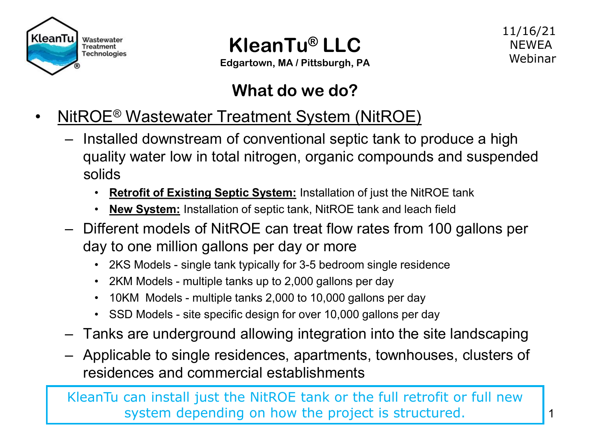



**Edgartown, MA / Pittsburgh, PA**

#### 11/16/21 **NEWFA** Webinar

### **What do we do?**

- NitROE<sup>®</sup> Wastewater Treatment System (NitROE)
	- Installed downstream of conventional septic tank to produce a high quality water low in total nitrogen, organic compounds and suspended solids
		- **Retrofit of Existing Septic System:** Installation of just the NitROE tank
		- **New System:** Installation of septic tank, NitROE tank and leach field
	- Different models of NitROE can treat flow rates from 100 gallons per day to one million gallons per day or more
		- 2KS Models single tank typically for 3-5 bedroom single residence
		- 2KM Models multiple tanks up to 2,000 gallons per day
		- 10KM Models multiple tanks 2,000 to 10,000 gallons per day
		- SSD Models site specific design for over 10,000 gallons per day
	- Tanks are underground allowing integration into the site landscaping
	- Applicable to single residences, apartments, townhouses, clusters of residences and commercial establishments

KleanTu can install just the NitROE tank or the full retrofit or full new system depending on how the project is structured.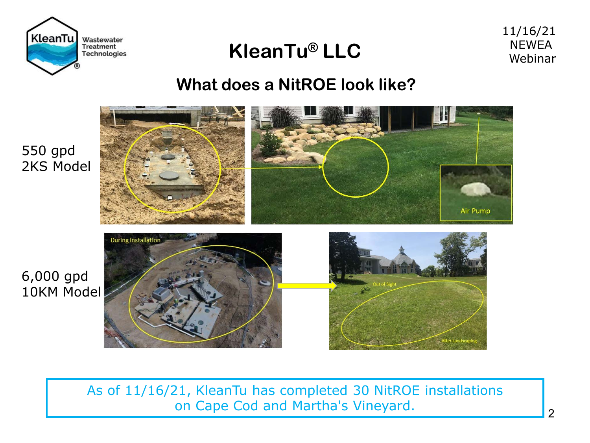

11/16/21 **NEWEA** Webinar

#### **What does a NitROE look like?**



As of 11/16/21, KleanTu has completed 30 NitROE installations on Cape Cod and Martha's Vineyard.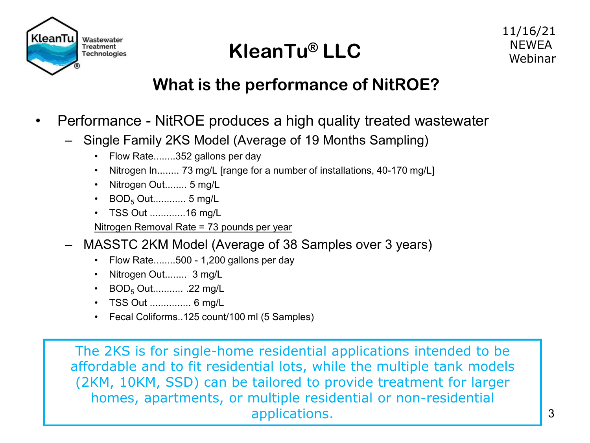

### **What is the performance of NitROE?**

- Performance NitROE produces a high quality treated wastewater
	- Single Family 2KS Model (Average of 19 Months Sampling)
		- Flow Rate........352 gallons per day
		- Nitrogen In........ 73 mg/L [range for a number of installations, 40-170 mg/L]
		- Nitrogen Out........ 5 mg/L
		- BOD<sub>5</sub> Out............. 5 mg/L
		- TSS Out .............16 mg/L
		- Nitrogen Removal Rate = 73 pounds per year
	- MASSTC 2KM Model (Average of 38 Samples over 3 years)
		- Flow Rate........500 1,200 gallons per day
		- Nitrogen Out........ 3 mg/L
		- $BOD<sub>5</sub> Out...$ ............... .22 mg/L
		- TSS Out ............... 6 mg/L
		- Fecal Coliforms..125 count/100 ml (5 Samples)

The 2KS is for single-home residential applications intended to be affordable and to fit residential lots, while the multiple tank models (2KM, 10KM, SSD) can be tailored to provide treatment for larger homes, apartments, or multiple residential or non-residential applications. 2008. The state of the state of the state of the state of the state of the state of the state of the state of the state of the state of the state of the state of the state of the state of the state of the sta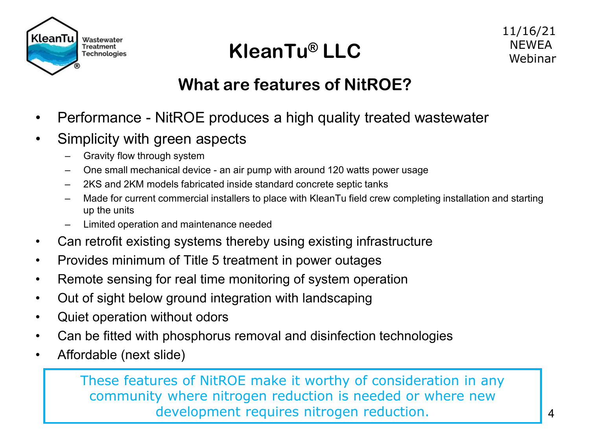

### **What are features of NitROE?**

- Performance NitROE produces a high quality treated wastewater
- Simplicity with green aspects
	- Gravity flow through system
	- One small mechanical device an air pump with around 120 watts power usage
	- 2KS and 2KM models fabricated inside standard concrete septic tanks
	- Made for current commercial installers to place with KleanTu field crew completing installation and starting up the units
	- Limited operation and maintenance needed
- Can retrofit existing systems thereby using existing infrastructure
- Provides minimum of Title 5 treatment in power outages
- Remote sensing for real time monitoring of system operation
- Out of sight below ground integration with landscaping
- Quiet operation without odors
- Can be fitted with phosphorus removal and disinfection technologies
- Affordable (next slide)

These features of NitROE make it worthy of consideration in any community where nitrogen reduction is needed or where new development requires nitrogen reduction.